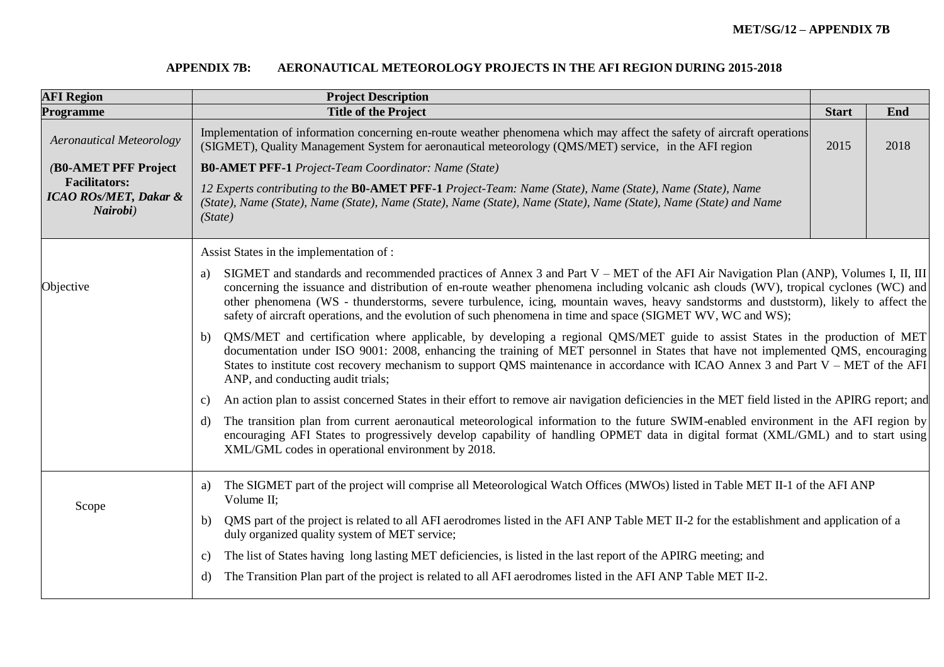## **APPENDIX 7B: AERONAUTICAL METEOROLOGY PROJECTS IN THE AFI REGION DURING 2015-2018**

| <b>AFI Region</b>                                                    | <b>Project Description</b>                                                                                                                                                                                                                                                                                                                                                                                                                                                                                                                   |              |      |  |  |
|----------------------------------------------------------------------|----------------------------------------------------------------------------------------------------------------------------------------------------------------------------------------------------------------------------------------------------------------------------------------------------------------------------------------------------------------------------------------------------------------------------------------------------------------------------------------------------------------------------------------------|--------------|------|--|--|
| <b>Programme</b>                                                     | <b>Title of the Project</b>                                                                                                                                                                                                                                                                                                                                                                                                                                                                                                                  | <b>Start</b> | End  |  |  |
| <b>Aeronautical Meteorology</b>                                      | Implementation of information concerning en-route weather phenomena which may affect the safety of aircraft operations<br>(SIGMET), Quality Management System for aeronautical meteorology (QMS/MET) service, in the AFI region                                                                                                                                                                                                                                                                                                              | 2015         | 2018 |  |  |
| (B0-AMET PFF Project                                                 | <b>B0-AMET PFF-1</b> Project-Team Coordinator: Name (State)                                                                                                                                                                                                                                                                                                                                                                                                                                                                                  |              |      |  |  |
| <b>Facilitators:</b><br><b>ICAO ROs/MET, Dakar &amp;</b><br>Nairobi) | 12 Experts contributing to the BO-AMET PFF-1 Project-Team: Name (State), Name (State), Name (State), Name<br>(State), Name (State), Name (State), Name (State), Name (State), Name (State), Name (State), Name (State) and Name<br>(State)                                                                                                                                                                                                                                                                                                   |              |      |  |  |
|                                                                      | Assist States in the implementation of :                                                                                                                                                                                                                                                                                                                                                                                                                                                                                                     |              |      |  |  |
| Objective                                                            | SIGMET and standards and recommended practices of Annex 3 and Part $V - MET$ of the AFI Air Navigation Plan (ANP), Volumes I, II, III<br>a)<br>concerning the issuance and distribution of en-route weather phenomena including volcanic ash clouds (WV), tropical cyclones (WC) and<br>other phenomena (WS - thunderstorms, severe turbulence, icing, mountain waves, heavy sandstorms and duststorm), likely to affect the<br>safety of aircraft operations, and the evolution of such phenomena in time and space (SIGMET WV, WC and WS); |              |      |  |  |
|                                                                      | QMS/MET and certification where applicable, by developing a regional QMS/MET guide to assist States in the production of MET<br>b)<br>documentation under ISO 9001: 2008, enhancing the training of MET personnel in States that have not implemented QMS, encouraging<br>States to institute cost recovery mechanism to support QMS maintenance in accordance with ICAO Annex 3 and Part V – MET of the AFI<br>ANP, and conducting audit trials;                                                                                            |              |      |  |  |
|                                                                      | An action plan to assist concerned States in their effort to remove air navigation deficiencies in the MET field listed in the APIRG report; and<br>C)                                                                                                                                                                                                                                                                                                                                                                                       |              |      |  |  |
|                                                                      | The transition plan from current aeronautical meteorological information to the future SWIM-enabled environment in the AFI region by<br>d)<br>encouraging AFI States to progressively develop capability of handling OPMET data in digital format (XML/GML) and to start using<br>XML/GML codes in operational environment by 2018.                                                                                                                                                                                                          |              |      |  |  |
| Scope                                                                | The SIGMET part of the project will comprise all Meteorological Watch Offices (MWOs) listed in Table MET II-1 of the AFI ANP<br>a)<br>Volume II;                                                                                                                                                                                                                                                                                                                                                                                             |              |      |  |  |
|                                                                      | QMS part of the project is related to all AFI aerodromes listed in the AFI ANP Table MET II-2 for the establishment and application of a<br>b)<br>duly organized quality system of MET service;                                                                                                                                                                                                                                                                                                                                              |              |      |  |  |
|                                                                      | The list of States having long lasting MET deficiencies, is listed in the last report of the APIRG meeting; and<br>$\mathbf{c}$ )                                                                                                                                                                                                                                                                                                                                                                                                            |              |      |  |  |
|                                                                      | The Transition Plan part of the project is related to all AFI aerodromes listed in the AFI ANP Table MET II-2.<br>d)                                                                                                                                                                                                                                                                                                                                                                                                                         |              |      |  |  |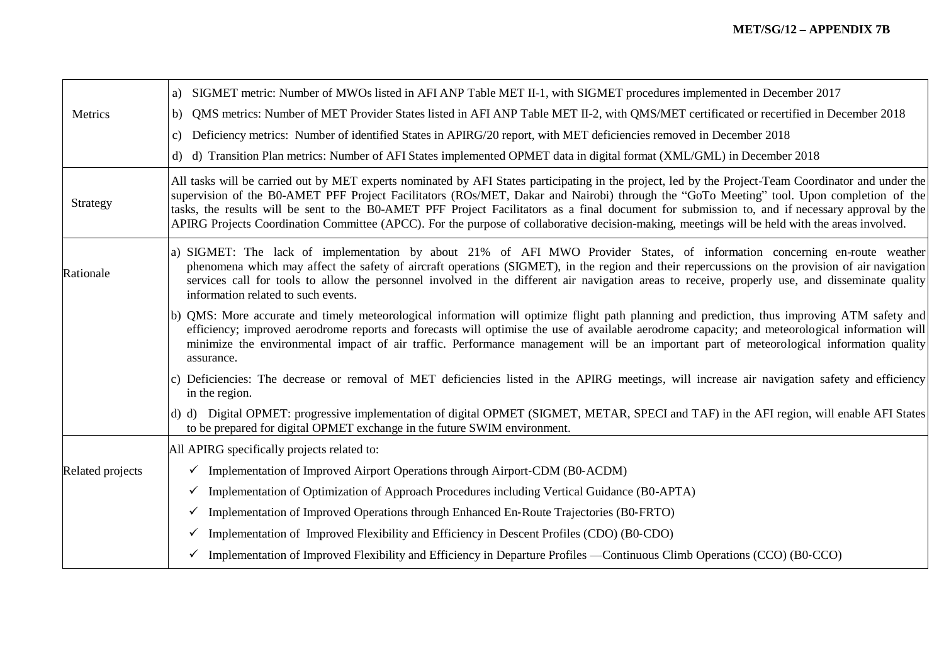|                  | SIGMET metric: Number of MWOs listed in AFI ANP Table MET II-1, with SIGMET procedures implemented in December 2017<br>a)                                                                                                                                                                                                                                                                                                                                                                                                                                                                             |
|------------------|-------------------------------------------------------------------------------------------------------------------------------------------------------------------------------------------------------------------------------------------------------------------------------------------------------------------------------------------------------------------------------------------------------------------------------------------------------------------------------------------------------------------------------------------------------------------------------------------------------|
| Metrics          | QMS metrics: Number of MET Provider States listed in AFI ANP Table MET II-2, with QMS/MET certificated or recertified in December 2018<br>b)                                                                                                                                                                                                                                                                                                                                                                                                                                                          |
|                  | Deficiency metrics: Number of identified States in APIRG/20 report, with MET deficiencies removed in December 2018<br>C)                                                                                                                                                                                                                                                                                                                                                                                                                                                                              |
|                  | d) d) Transition Plan metrics: Number of AFI States implemented OPMET data in digital format (XML/GML) in December 2018                                                                                                                                                                                                                                                                                                                                                                                                                                                                               |
| Strategy         | All tasks will be carried out by MET experts nominated by AFI States participating in the project, led by the Project-Team Coordinator and under the<br>supervision of the B0-AMET PFF Project Facilitators (ROs/MET, Dakar and Nairobi) through the "GoTo Meeting" tool. Upon completion of the<br>tasks, the results will be sent to the B0-AMET PFF Project Facilitators as a final document for submission to, and if necessary approval by the<br>APIRG Projects Coordination Committee (APCC). For the purpose of collaborative decision-making, meetings will be held with the areas involved. |
| Rationale        | a) SIGMET: The lack of implementation by about 21% of AFI MWO Provider States, of information concerning en-route weather<br>phenomena which may affect the safety of aircraft operations (SIGMET), in the region and their repercussions on the provision of air navigation<br>services call for tools to allow the personnel involved in the different air navigation areas to receive, properly use, and disseminate quality<br>information related to such events.                                                                                                                                |
|                  | b) QMS: More accurate and timely meteorological information will optimize flight path planning and prediction, thus improving ATM safety and<br>efficiency; improved aerodrome reports and forecasts will optimise the use of available aerodrome capacity; and meteorological information will<br>minimize the environmental impact of air traffic. Performance management will be an important part of meteorological information quality<br>assurance.                                                                                                                                             |
|                  | c) Deficiencies: The decrease or removal of MET deficiencies listed in the APIRG meetings, will increase air navigation safety and efficiency<br>in the region.                                                                                                                                                                                                                                                                                                                                                                                                                                       |
|                  | d) d) Digital OPMET: progressive implementation of digital OPMET (SIGMET, METAR, SPECI and TAF) in the AFI region, will enable AFI States<br>to be prepared for digital OPMET exchange in the future SWIM environment.                                                                                                                                                                                                                                                                                                                                                                                |
|                  | All APIRG specifically projects related to:                                                                                                                                                                                                                                                                                                                                                                                                                                                                                                                                                           |
| Related projects | $\checkmark$ Implementation of Improved Airport Operations through Airport-CDM (B0-ACDM)                                                                                                                                                                                                                                                                                                                                                                                                                                                                                                              |
|                  | Implementation of Optimization of Approach Procedures including Vertical Guidance (B0-APTA)<br>$\checkmark$                                                                                                                                                                                                                                                                                                                                                                                                                                                                                           |
|                  | Implementation of Improved Operations through Enhanced En-Route Trajectories (B0-FRTO)<br>$\checkmark$                                                                                                                                                                                                                                                                                                                                                                                                                                                                                                |
|                  | Implementation of Improved Flexibility and Efficiency in Descent Profiles (CDO) (B0-CDO)<br>$\checkmark$                                                                                                                                                                                                                                                                                                                                                                                                                                                                                              |
|                  | $\checkmark$ Implementation of Improved Flexibility and Efficiency in Departure Profiles —Continuous Climb Operations (CCO) (B0-CCO)                                                                                                                                                                                                                                                                                                                                                                                                                                                                  |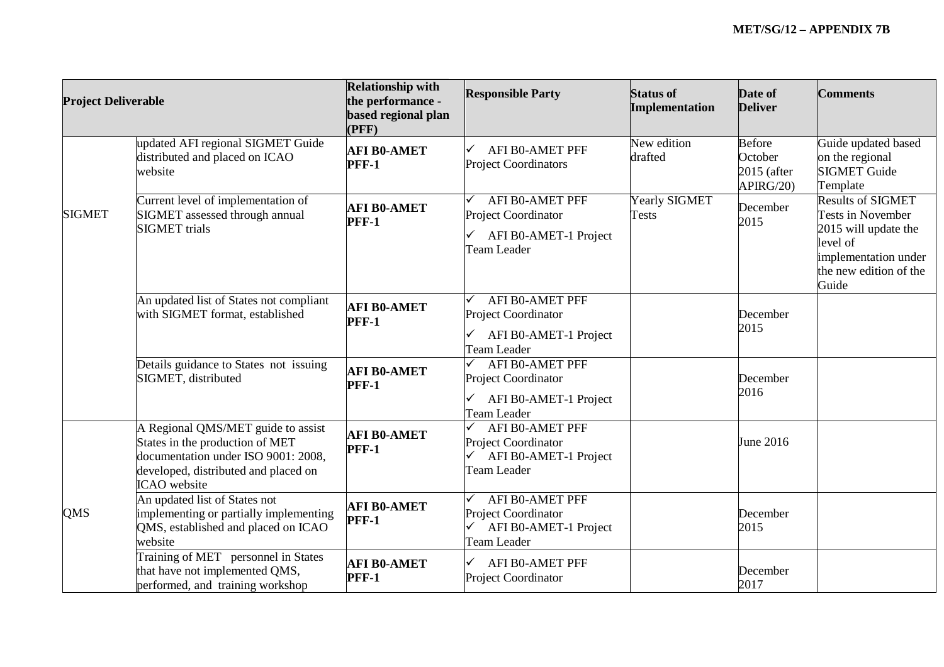| <b>Project Deliverable</b> |                                                                                                                                                                             | <b>Relationship with</b><br>the performance -<br>based regional plan<br>(PFF) | <b>Responsible Party</b>                                                              | <b>Status of</b><br>Implementation | Date of<br><b>Deliver</b>                             | <b>Comments</b>                                                                                                                                     |
|----------------------------|-----------------------------------------------------------------------------------------------------------------------------------------------------------------------------|-------------------------------------------------------------------------------|---------------------------------------------------------------------------------------|------------------------------------|-------------------------------------------------------|-----------------------------------------------------------------------------------------------------------------------------------------------------|
|                            | updated AFI regional SIGMET Guide<br>distributed and placed on ICAO<br>website                                                                                              | <b>AFI B0-AMET</b><br>PFF-1                                                   | <b>AFI B0-AMET PFF</b><br><b>Project Coordinators</b>                                 | New edition<br>drafted             | <b>Before</b><br>October<br>$2015$ (after<br>APIRG/20 | Guide updated based<br>on the regional<br><b>SIGMET Guide</b><br>Template                                                                           |
| <b>SIGMET</b>              | Current level of implementation of<br>SIGMET assessed through annual<br><b>SIGMET</b> trials                                                                                | <b>AFI B0-AMET</b><br><b>PFF-1</b>                                            | <b>AFI BO-AMET PFF</b><br>Project Coordinator<br>AFI B0-AMET-1 Project<br>Team Leader | Yearly SIGMET<br><b>Tests</b>      | December<br>2015                                      | <b>Results of SIGMET</b><br><b>Tests in November</b><br>2015 will update the<br>level of<br>implementation under<br>the new edition of the<br>Guide |
|                            | An updated list of States not compliant<br>with SIGMET format, established                                                                                                  | <b>AFI B0-AMET</b><br><b>PFF-1</b>                                            | <b>AFI BO-AMET PFF</b><br>Project Coordinator<br>AFI B0-AMET-1 Project<br>Team Leader |                                    | December<br>2015                                      |                                                                                                                                                     |
|                            | Details guidance to States not issuing<br>SIGMET, distributed                                                                                                               | <b>AFI B0-AMET</b><br><b>PFF-1</b>                                            | AFI B0-AMET PFF<br>Project Coordinator<br>AFI B0-AMET-1 Project<br>Team Leader        |                                    | December<br>2016                                      |                                                                                                                                                     |
|                            | A Regional QMS/MET guide to assist<br>States in the production of MET<br>documentation under ISO 9001: 2008,<br>developed, distributed and placed on<br><b>ICAO</b> website | <b>AFI B0-AMET</b><br><b>PFF-1</b>                                            | AFI B0-AMET PFF<br>Project Coordinator<br>AFI B0-AMET-1 Project<br>Team Leader        |                                    | June 2016                                             |                                                                                                                                                     |
| <b>QMS</b>                 | An updated list of States not<br>implementing or partially implementing<br>QMS, established and placed on ICAO<br>website                                                   | <b>AFI B0-AMET</b><br><b>PFF-1</b>                                            | AFI B0-AMET PFF<br>Project Coordinator<br>AFI B0-AMET-1 Project<br><b>Team Leader</b> |                                    | December<br>2015                                      |                                                                                                                                                     |
|                            | Training of MET personnel in States<br>that have not implemented QMS,<br>performed, and training workshop                                                                   | <b>AFI B0-AMET</b><br><b>PFF-1</b>                                            | ✓<br>AFI B0-AMET PFF<br>Project Coordinator                                           |                                    | December<br>2017                                      |                                                                                                                                                     |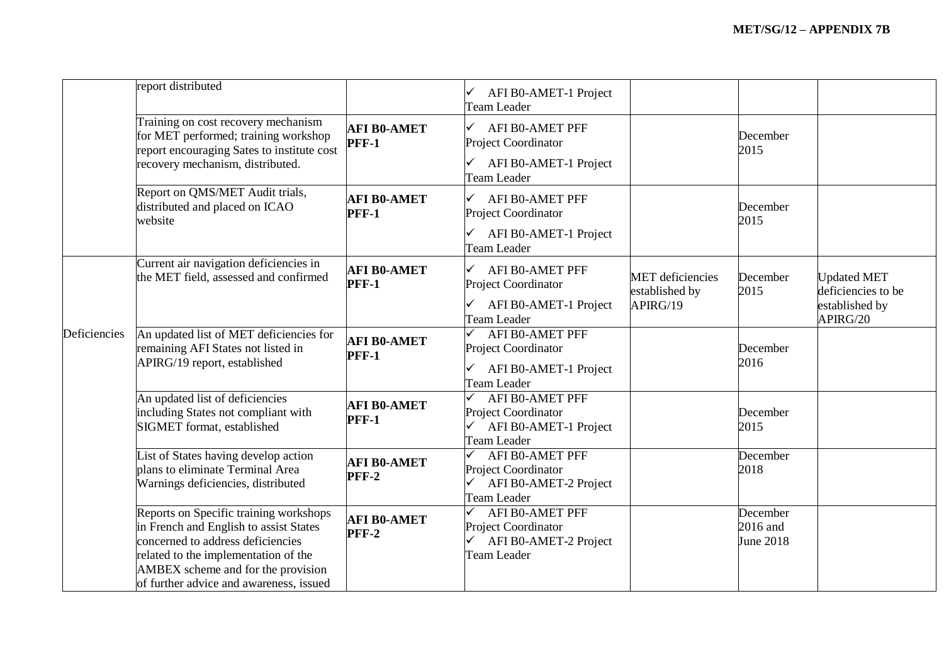|              | report distributed                                                                                                                                                                                                                             |                                    | AFI B0-AMET-1 Project<br>Team Leader                                                           |                                                       |                                   |                                                                        |
|--------------|------------------------------------------------------------------------------------------------------------------------------------------------------------------------------------------------------------------------------------------------|------------------------------------|------------------------------------------------------------------------------------------------|-------------------------------------------------------|-----------------------------------|------------------------------------------------------------------------|
|              | Training on cost recovery mechanism<br>for MET performed; training workshop<br>report encouraging Sates to institute cost<br>recovery mechanism, distributed.                                                                                  | <b>AFI B0-AMET</b><br><b>PFF-1</b> | AFI B0-AMET PFF<br>✓<br>Project Coordinator<br>AFI B0-AMET-1 Project<br><b>Team Leader</b>     |                                                       | December<br>2015                  |                                                                        |
|              | Report on QMS/MET Audit trials,<br>distributed and placed on ICAO<br>website                                                                                                                                                                   | <b>AFI B0-AMET</b><br><b>PFF-1</b> | AFI B0-AMET PFF<br>$\checkmark$<br>Project Coordinator<br>AFI B0-AMET-1 Project<br>Team Leader |                                                       | December<br>2015                  |                                                                        |
|              | Current air navigation deficiencies in<br>the MET field, assessed and confirmed                                                                                                                                                                | <b>AFI B0-AMET</b><br><b>PFF-1</b> | <b>AFI B0-AMET PFF</b><br>Project Coordinator<br>AFI B0-AMET-1 Project<br>Team Leader          | <b>MET</b> deficiencies<br>established by<br>APIRG/19 | December<br>2015                  | <b>Updated MET</b><br>deficiencies to be<br>established by<br>APIRG/20 |
| Deficiencies | An updated list of MET deficiencies for<br>remaining AFI States not listed in<br>APIRG/19 report, established                                                                                                                                  | <b>AFI B0-AMET</b><br><b>PFF-1</b> | <b>AFI BO-AMET PFF</b><br>Project Coordinator<br>AFI B0-AMET-1 Project<br><b>Team Leader</b>   |                                                       | December<br>2016                  |                                                                        |
|              | An updated list of deficiencies<br>including States not compliant with<br>SIGMET format, established                                                                                                                                           | <b>AFI B0-AMET</b><br><b>PFF-1</b> | AFI B0-AMET PFF<br>Project Coordinator<br>AFI B0-AMET-1 Project<br>Team Leader                 |                                                       | December<br>2015                  |                                                                        |
|              | List of States having develop action<br>plans to eliminate Terminal Area<br>Warnings deficiencies, distributed                                                                                                                                 | <b>AFI B0-AMET</b><br><b>PFF-2</b> | <b>AFI B0-AMET PFF</b><br>Project Coordinator<br>AFI B0-AMET-2 Project<br>Team Leader          |                                                       | December<br>2018                  |                                                                        |
|              | Reports on Specific training workshops<br>in French and English to assist States<br>concerned to address deficiencies<br>related to the implementation of the<br>AMBEX scheme and for the provision<br>of further advice and awareness, issued | <b>AFI B0-AMET</b><br>PFF-2        | <b>AFI B0-AMET PFF</b><br>Project Coordinator<br>AFI B0-AMET-2 Project<br><b>Team Leader</b>   |                                                       | December<br>2016 and<br>June 2018 |                                                                        |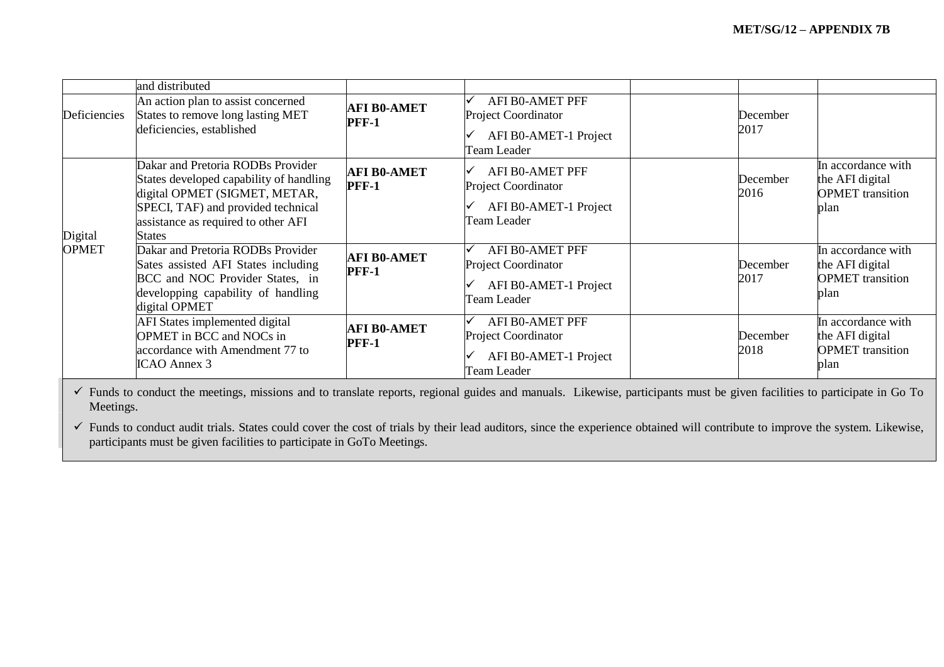|                         | and distributed                                                                                                                                                                                             |                                    |                                                                                              |                  |                                                                          |
|-------------------------|-------------------------------------------------------------------------------------------------------------------------------------------------------------------------------------------------------------|------------------------------------|----------------------------------------------------------------------------------------------|------------------|--------------------------------------------------------------------------|
| Deficiencies            | An action plan to assist concerned<br>States to remove long lasting MET<br>deficiencies, established                                                                                                        | <b>AFI B0-AMET</b><br><b>PFF-1</b> | AFI B0-AMET PFF<br><b>Project Coordinator</b><br>AFI B0-AMET-1 Project<br>Team Leader        | December<br>2017 |                                                                          |
| Digital<br><b>OPMET</b> | Dakar and Pretoria RODBs Provider<br>States developed capability of handling<br>digital OPMET (SIGMET, METAR,<br>SPECI, TAF) and provided technical<br>assistance as required to other AFI<br><b>States</b> | <b>AFI B0-AMET</b><br><b>PFF-1</b> | AFI BO-AMET PFF<br><b>Project Coordinator</b><br>AFI B0-AMET-1 Project<br>Team Leader        | December<br>2016 | In accordance with<br>the AFI digital<br><b>OPMET</b> transition<br>plan |
|                         | Dakar and Pretoria RODBs Provider<br>Sates assisted AFI States including<br>BCC and NOC Provider States, in<br>developping capability of handling<br>digital OPMET                                          | <b>AFI B0-AMET</b><br><b>PFF-1</b> | AFI B0-AMET PFF<br><b>Project Coordinator</b><br>AFI B0-AMET-1 Project<br>Team Leader        | December<br>2017 | In accordance with<br>the AFI digital<br><b>OPMET</b> transition<br>plan |
|                         | AFI States implemented digital<br>OPMET in BCC and NOCs in<br>accordance with Amendment 77 to<br>ICAO Annex 3                                                                                               | <b>AFI B0-AMET</b><br><b>PFF-1</b> | <b>AFI BO-AMET PFF</b><br><b>Project Coordinator</b><br>AFI B0-AMET-1 Project<br>Team Leader | December<br>2018 | In accordance with<br>the AFI digital<br><b>OPMET</b> transition<br>plan |

 Funds to conduct the meetings, missions and to translate reports, regional guides and manuals. Likewise, participants must be given facilities to participate in Go To Meetings.

 Funds to conduct audit trials. States could cover the cost of trials by their lead auditors, since the experience obtained will contribute to improve the system. Likewise, participants must be given facilities to participate in GoTo Meetings.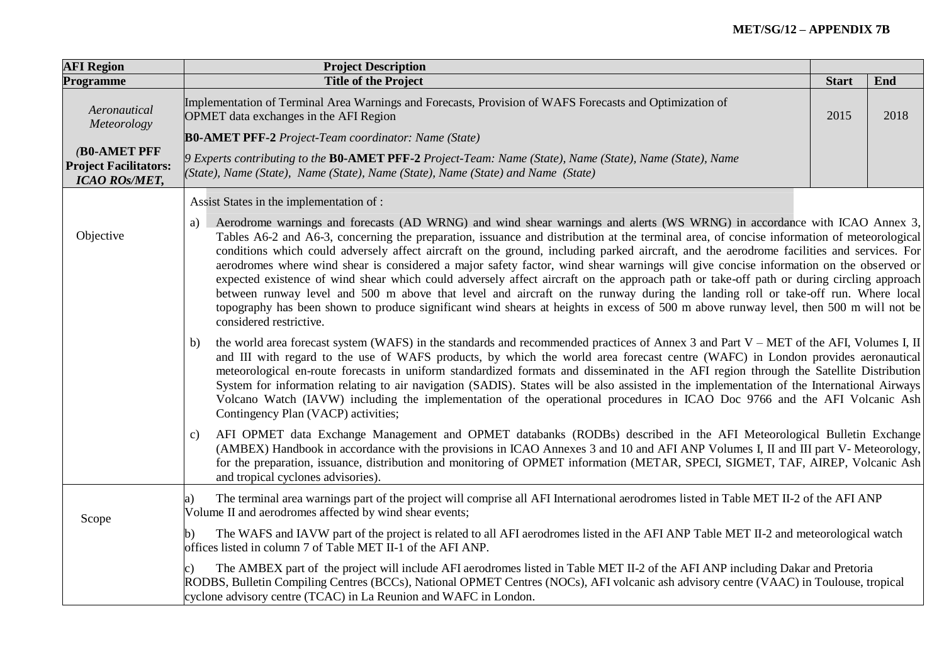| <b>AFI Region</b>                                                    | <b>Project Description</b>                                                                                                                                                                                                                                                                                                                                                                                                                                                                                                                                                                                                                                                                                                                                                                                                                                                                                                                                                                                            |              |      |  |  |
|----------------------------------------------------------------------|-----------------------------------------------------------------------------------------------------------------------------------------------------------------------------------------------------------------------------------------------------------------------------------------------------------------------------------------------------------------------------------------------------------------------------------------------------------------------------------------------------------------------------------------------------------------------------------------------------------------------------------------------------------------------------------------------------------------------------------------------------------------------------------------------------------------------------------------------------------------------------------------------------------------------------------------------------------------------------------------------------------------------|--------------|------|--|--|
| Programme                                                            | <b>Title of the Project</b>                                                                                                                                                                                                                                                                                                                                                                                                                                                                                                                                                                                                                                                                                                                                                                                                                                                                                                                                                                                           | <b>Start</b> | End  |  |  |
| Aeronautical<br>Meteorology                                          | Implementation of Terminal Area Warnings and Forecasts, Provision of WAFS Forecasts and Optimization of<br>OPMET data exchanges in the AFI Region                                                                                                                                                                                                                                                                                                                                                                                                                                                                                                                                                                                                                                                                                                                                                                                                                                                                     | 2015         | 2018 |  |  |
|                                                                      | <b>B0-AMET PFF-2</b> Project-Team coordinator: Name (State)                                                                                                                                                                                                                                                                                                                                                                                                                                                                                                                                                                                                                                                                                                                                                                                                                                                                                                                                                           |              |      |  |  |
| (B0-AMET PFF<br><b>Project Facilitators:</b><br><b>ICAO ROS/MET,</b> | $\beta$ Experts contributing to the <b>B0-AMET PFF-2</b> Project-Team: Name (State), Name (State), Name (State), Name<br>(State), Name (State), Name (State), Name (State), Name (State) and Name (State)                                                                                                                                                                                                                                                                                                                                                                                                                                                                                                                                                                                                                                                                                                                                                                                                             |              |      |  |  |
|                                                                      | Assist States in the implementation of :                                                                                                                                                                                                                                                                                                                                                                                                                                                                                                                                                                                                                                                                                                                                                                                                                                                                                                                                                                              |              |      |  |  |
| Objective                                                            | Aerodrome warnings and forecasts (AD WRNG) and wind shear warnings and alerts (WS WRNG) in accordance with ICAO Annex 3,<br>a)<br>Tables A6-2 and A6-3, concerning the preparation, issuance and distribution at the terminal area, of concise information of meteorological<br>conditions which could adversely affect aircraft on the ground, including parked aircraft, and the aerodrome facilities and services. For<br>aerodromes where wind shear is considered a major safety factor, wind shear warnings will give concise information on the observed or<br>expected existence of wind shear which could adversely affect aircraft on the approach path or take-off path or during circling approach<br>between runway level and 500 m above that level and aircraft on the runway during the landing roll or take-off run. Where local<br>topography has been shown to produce significant wind shears at heights in excess of 500 m above runway level, then 500 m will not be<br>considered restrictive. |              |      |  |  |
|                                                                      | the world area forecast system (WAFS) in the standards and recommended practices of Annex 3 and Part $V - MET$ of the AFI, Volumes I, II<br>b)<br>and III with regard to the use of WAFS products, by which the world area forecast centre (WAFC) in London provides aeronautical<br>meteorological en-route forecasts in uniform standardized formats and disseminated in the AFI region through the Satellite Distribution<br>System for information relating to air navigation (SADIS). States will be also assisted in the implementation of the International Airways<br>Volcano Watch (IAVW) including the implementation of the operational procedures in ICAO Doc 9766 and the AFI Volcanic Ash<br>Contingency Plan (VACP) activities;                                                                                                                                                                                                                                                                        |              |      |  |  |
|                                                                      | AFI OPMET data Exchange Management and OPMET databanks (RODBs) described in the AFI Meteorological Bulletin Exchange<br>c)<br>(AMBEX) Handbook in accordance with the provisions in ICAO Annexes 3 and 10 and AFI ANP Volumes I, II and III part V- Meteorology,<br>for the preparation, issuance, distribution and monitoring of OPMET information (METAR, SPECI, SIGMET, TAF, AIREP, Volcanic Ash<br>and tropical cyclones advisories).                                                                                                                                                                                                                                                                                                                                                                                                                                                                                                                                                                             |              |      |  |  |
| Scope                                                                | The terminal area warnings part of the project will comprise all AFI International aerodromes listed in Table MET II-2 of the AFI ANP<br>a)<br>Volume II and aerodromes affected by wind shear events;                                                                                                                                                                                                                                                                                                                                                                                                                                                                                                                                                                                                                                                                                                                                                                                                                |              |      |  |  |
|                                                                      | The WAFS and IAVW part of the project is related to all AFI aerodromes listed in the AFI ANP Table MET II-2 and meteorological watch<br>offices listed in column 7 of Table MET II-1 of the AFI ANP.                                                                                                                                                                                                                                                                                                                                                                                                                                                                                                                                                                                                                                                                                                                                                                                                                  |              |      |  |  |
|                                                                      | The AMBEX part of the project will include AFI aerodromes listed in Table MET II-2 of the AFI ANP including Dakar and Pretoria<br>RODBS, Bulletin Compiling Centres (BCCs), National OPMET Centres (NOCs), AFI volcanic ash advisory centre (VAAC) in Toulouse, tropical<br>cyclone advisory centre (TCAC) in La Reunion and WAFC in London.                                                                                                                                                                                                                                                                                                                                                                                                                                                                                                                                                                                                                                                                          |              |      |  |  |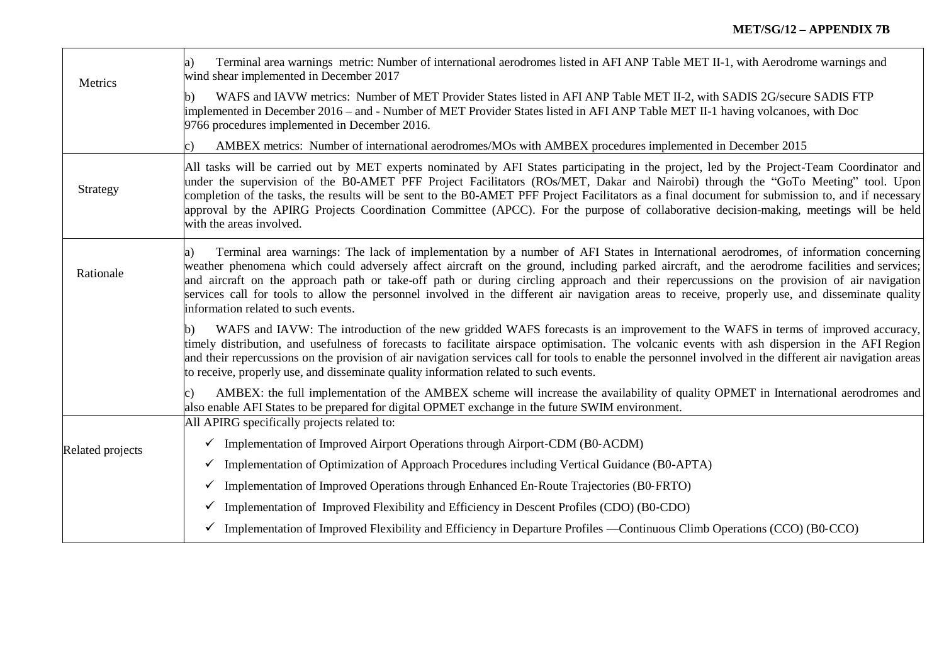| Metrics          | Terminal area warnings metric: Number of international aerodromes listed in AFI ANP Table MET II-1, with Aerodrome warnings and<br>a)<br>wind shear implemented in December 2017                                                                                                                                                                                                                                                                                                                                                                                                                                                 |  |  |  |  |  |
|------------------|----------------------------------------------------------------------------------------------------------------------------------------------------------------------------------------------------------------------------------------------------------------------------------------------------------------------------------------------------------------------------------------------------------------------------------------------------------------------------------------------------------------------------------------------------------------------------------------------------------------------------------|--|--|--|--|--|
|                  | WAFS and IAVW metrics: Number of MET Provider States listed in AFI ANP Table MET II-2, with SADIS 2G/secure SADIS FTP<br>$\mathbf{h}$<br>implemented in December 2016 – and - Number of MET Provider States listed in AFI ANP Table MET II-1 having volcanoes, with Doc<br>9766 procedures implemented in December 2016.                                                                                                                                                                                                                                                                                                         |  |  |  |  |  |
|                  | AMBEX metrics: Number of international aerodromes/MOs with AMBEX procedures implemented in December 2015                                                                                                                                                                                                                                                                                                                                                                                                                                                                                                                         |  |  |  |  |  |
| Strategy         | All tasks will be carried out by MET experts nominated by AFI States participating in the project, led by the Project-Team Coordinator and<br>under the supervision of the B0-AMET PFF Project Facilitators (ROs/MET, Dakar and Nairobi) through the "GoTo Meeting" tool. Upon<br>completion of the tasks, the results will be sent to the BO-AMET PFF Project Facilitators as a final document for submission to, and if necessary<br>approval by the APIRG Projects Coordination Committee (APCC). For the purpose of collaborative decision-making, meetings will be held<br>with the areas involved.                         |  |  |  |  |  |
| Rationale        | Terminal area warnings: The lack of implementation by a number of AFI States in International aerodromes, of information concerning<br>a)<br>weather phenomena which could adversely affect aircraft on the ground, including parked aircraft, and the aerodrome facilities and services;<br>and aircraft on the approach path or take-off path or during circling approach and their repercussions on the provision of air navigation<br>services call for tools to allow the personnel involved in the different air navigation areas to receive, properly use, and disseminate quality<br>information related to such events. |  |  |  |  |  |
|                  | WAFS and IAVW: The introduction of the new gridded WAFS forecasts is an improvement to the WAFS in terms of improved accuracy,<br>timely distribution, and usefulness of forecasts to facilitate airspace optimisation. The volcanic events with ash dispersion in the AFI Region<br>and their repercussions on the provision of air navigation services call for tools to enable the personnel involved in the different air navigation areas<br>to receive, properly use, and disseminate quality information related to such events.                                                                                          |  |  |  |  |  |
|                  | AMBEX: the full implementation of the AMBEX scheme will increase the availability of quality OPMET in International aerodromes and<br>also enable AFI States to be prepared for digital OPMET exchange in the future SWIM environment.                                                                                                                                                                                                                                                                                                                                                                                           |  |  |  |  |  |
|                  | All APIRG specifically projects related to:                                                                                                                                                                                                                                                                                                                                                                                                                                                                                                                                                                                      |  |  |  |  |  |
| Related projects | $\checkmark$ Implementation of Improved Airport Operations through Airport-CDM (B0-ACDM)                                                                                                                                                                                                                                                                                                                                                                                                                                                                                                                                         |  |  |  |  |  |
|                  | $\checkmark$ Implementation of Optimization of Approach Procedures including Vertical Guidance (B0-APTA)                                                                                                                                                                                                                                                                                                                                                                                                                                                                                                                         |  |  |  |  |  |
|                  | $\checkmark$ Implementation of Improved Operations through Enhanced En-Route Trajectories (B0-FRTO)                                                                                                                                                                                                                                                                                                                                                                                                                                                                                                                              |  |  |  |  |  |
|                  | $\checkmark$ Implementation of Improved Flexibility and Efficiency in Descent Profiles (CDO) (B0-CDO)                                                                                                                                                                                                                                                                                                                                                                                                                                                                                                                            |  |  |  |  |  |
|                  | $\checkmark$ Implementation of Improved Flexibility and Efficiency in Departure Profiles —Continuous Climb Operations (CCO) (B0-CCO)                                                                                                                                                                                                                                                                                                                                                                                                                                                                                             |  |  |  |  |  |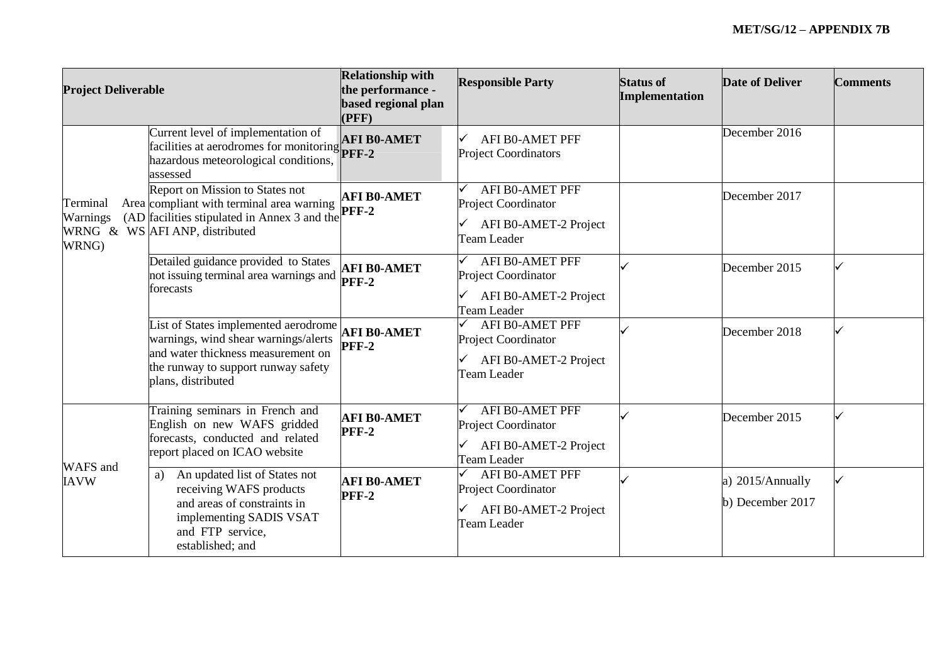| <b>Project Deliverable</b>    |                                                                                                                                                                                 | <b>Relationship with</b><br>the performance -<br>based regional plan<br>(PFF) | <b>Responsible Party</b>                                                              | <b>Status of</b><br>Implementation | <b>Date of Deliver</b>               | <b>Comments</b> |
|-------------------------------|---------------------------------------------------------------------------------------------------------------------------------------------------------------------------------|-------------------------------------------------------------------------------|---------------------------------------------------------------------------------------|------------------------------------|--------------------------------------|-----------------|
|                               | Current level of implementation of<br>facilities at aerodromes for monitoring <b>PFF-2</b><br>hazardous meteorological conditions,<br>assessed                                  | <b>AFI B0-AMET</b>                                                            | <b>AFI B0-AMET PFF</b><br><b>Project Coordinators</b>                                 |                                    | December 2016                        |                 |
| Terminal<br>Warnings<br>WRNG) | Report on Mission to States not<br>Area compliant with terminal area warning<br>(AD facilities stipulated in Annex 3 and the<br>WRNG & WS AFI ANP, distributed                  | <b>AFI B0-AMET</b><br><b>PFF-2</b>                                            | <b>AFI B0-AMET PFF</b><br>Project Coordinator<br>AFI B0-AMET-2 Project<br>Team Leader |                                    | December 2017                        |                 |
|                               | Detailed guidance provided to States<br>not issuing terminal area warnings and<br>forecasts                                                                                     | <b>AFI B0-AMET</b><br>PFF-2                                                   | <b>AFI B0-AMET PFF</b><br>Project Coordinator<br>AFI B0-AMET-2 Project<br>Team Leader |                                    | December 2015                        |                 |
|                               | List of States implemented aerodrome<br>warnings, wind shear warnings/alerts<br>and water thickness measurement on<br>the runway to support runway safety<br>plans, distributed | <b>AFI B0-AMET</b><br><b>PFF-2</b>                                            | <b>AFI B0-AMET PFF</b><br>Project Coordinator<br>AFI B0-AMET-2 Project<br>Team Leader |                                    | December 2018                        |                 |
| WAFS and<br><b>IAVW</b>       | Training seminars in French and<br>English on new WAFS gridded<br>forecasts, conducted and related<br>report placed on ICAO website                                             | <b>AFI B0-AMET</b><br>PFF-2                                                   | AFI B0-AMET PFF<br>Project Coordinator<br>AFI B0-AMET-2 Project<br>Team Leader        |                                    | December 2015                        |                 |
|                               | An updated list of States not<br>a)<br>receiving WAFS products<br>and areas of constraints in<br>implementing SADIS VSAT<br>and FTP service,<br>established; and                | <b>AFI B0-AMET</b><br><b>PFF-2</b>                                            | <b>AFI BO-AMET PFF</b><br>Project Coordinator<br>AFI B0-AMET-2 Project<br>Team Leader |                                    | a) 2015/Annually<br>b) December 2017 |                 |